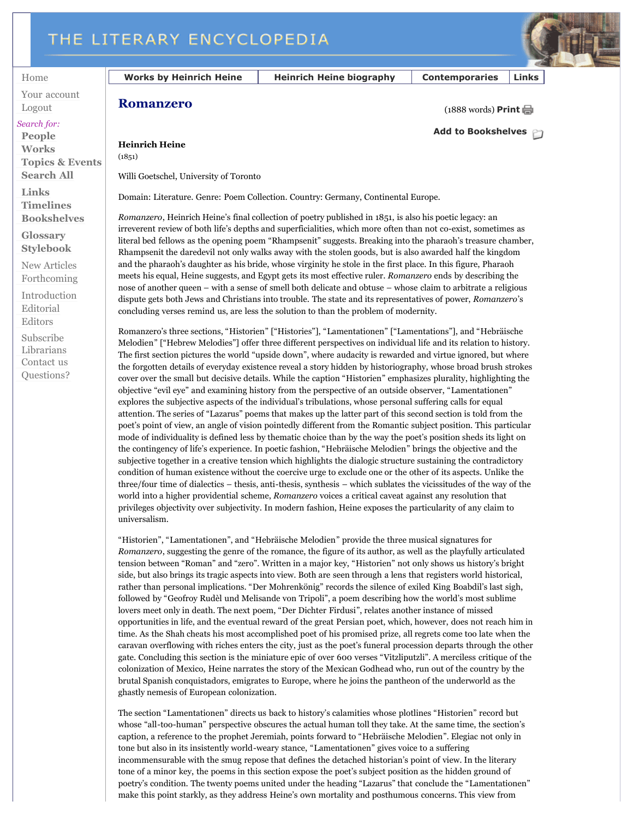## THE LITERARY ENCYCLOPEDIA



Home

Your account Logout

## *Search for:*

**People Works Topics & Events Search All**

**Links Timelines Bookshelves**

**Glossary**

**Stylebook** New Articles

Forthcoming

Introduction Editorial Editors Subscribe Librarians Contact us

Questions?

**Works by Heinrich Heine Heinrich Heine biography Contemporaries Links**

(1888 words) **Print**

**Romanzero**

**Heinrich Heine**  $(1851)$ 

Willi Goetschel, University of Toronto

Domain: Literature. Genre: Poem Collection. Country: Germany, Continental Europe.

*Romanzero*, Heinrich Heine's final collection of poetry published in 1851, is also his poetic legacy: an irreverent review of both life's depths and superficialities, which more often than not co-exist, sometimes as literal bed fellows as the opening poem "Rhampsenit" suggests. Breaking into the pharaoh's treasure chamber, Rhampsenit the daredevil not only walks away with the stolen goods, but is also awarded half the kingdom and the pharaoh's daughter as his bride, whose virginity he stole in the first place. In this figure, Pharaoh meets his equal, Heine suggests, and Egypt gets its most effective ruler. *Romanzero* ends by describing the nose of another queen – with a sense of smell both delicate and obtuse – whose claim to arbitrate a religious dispute gets both Jews and Christians into trouble. The state and its representatives of power, *Romanzero*'s concluding verses remind us, are less the solution to than the problem of modernity.

Romanzero's three sections, "Historien" ["Histories"], "Lamentationen" ["Lamentations"], and "Hebräische Melodien" ["Hebrew Melodies"] offer three different perspectives on individual life and its relation to history. The first section pictures the world "upside down", where audacity is rewarded and virtue ignored, but where the forgotten details of everyday existence reveal a story hidden by historiography, whose broad brush strokes cover over the small but decisive details. While the caption "Historien" emphasizes plurality, highlighting the objective "evil eye" and examining history from the perspective of an outside observer, "Lamentationen" explores the subjective aspects of the individual's tribulations, whose personal suffering calls for equal attention. The series of "Lazarus" poems that makes up the latter part of this second section is told from the poet's point of view, an angle of vision pointedly different from the Romantic subject position. This particular mode of individuality is defined less by thematic choice than by the way the poet's position sheds its light on the contingency of life's experience. In poetic fashion, "Hebräische Melodien" brings the objective and the subjective together in a creative tension which highlights the dialogic structure sustaining the contradictory condition of human existence without the coercive urge to exclude one or the other of its aspects. Unlike the three/four time of dialectics – thesis, anti-thesis, synthesis – which sublates the vicissitudes of the way of the world into a higher providential scheme, *Romanzero* voices a critical caveat against any resolution that privileges objectivity over subjectivity. In modern fashion, Heine exposes the particularity of any claim to universalism.

"Historien", "Lamentationen", and "Hebräische Melodien" provide the three musical signatures for *Romanzero*, suggesting the genre of the romance, the figure of its author, as well as the playfully articulated tension between "Roman" and "zero". Written in a major key, "Historien" not only shows us history's bright side, but also brings its tragic aspects into view. Both are seen through a lens that registers world historical, rather than personal implications. "Der Mohrenkönig" records the silence of exiled King Boabdil's last sigh, followed by "Geofroy Rudèl und Melisande von Tripoli", a poem describing how the world's most sublime lovers meet only in death. The next poem, "Der Dichter Firdusi", relates another instance of missed opportunities in life, and the eventual reward of the great Persian poet, which, however, does not reach him in time. As the Shah cheats his most accomplished poet of his promised prize, all regrets come too late when the caravan overflowing with riches enters the city, just as the poet's funeral procession departs through the other gate. Concluding this section is the miniature epic of over 600 verses "Vitzliputzli". A merciless critique of the colonization of Mexico, Heine narrates the story of the Mexican Godhead who, run out of the country by the brutal Spanish conquistadors, emigrates to Europe, where he joins the pantheon of the underworld as the ghastly nemesis of European colonization.

The section "Lamentationen" directs us back to history's calamities whose plotlines "Historien" record but whose "all-too-human" perspective obscures the actual human toll they take. At the same time, the section's caption, a reference to the prophet Jeremiah, points forward to "Hebräische Melodien". Elegiac not only in tone but also in its insistently world-weary stance, "Lamentationen" gives voice to a suffering incommensurable with the smug repose that defines the detached historian's point of view. In the literary tone of a minor key, the poems in this section expose the poet's subject position as the hidden ground of poetry's condition. The twenty poems united under the heading "Lazarus" that conclude the "Lamentationen" make this point starkly, as they address Heine's own mortality and posthumous concerns. This view from

**Add to Bookshelves**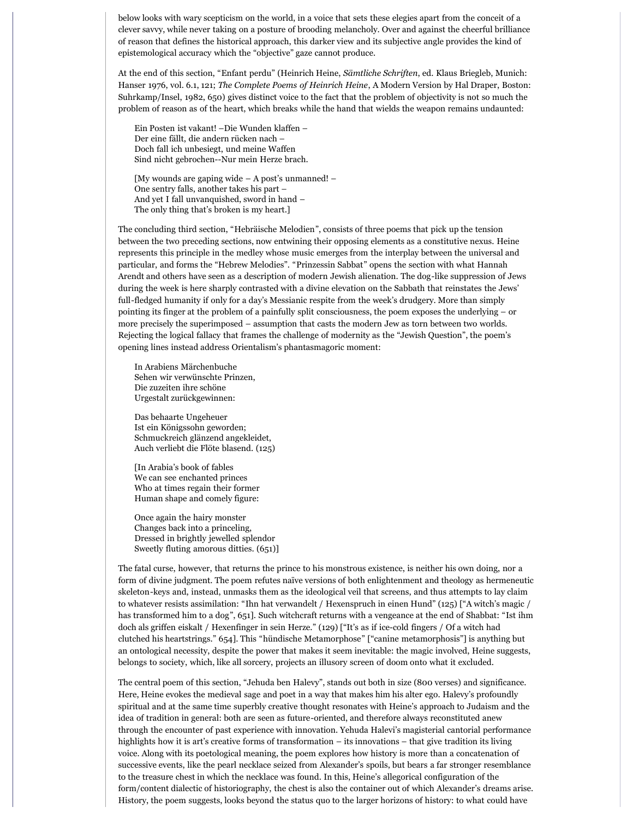below looks with wary scepticism on the world, in a voice that sets these elegies apart from the conceit of a clever savvy, while never taking on a posture of brooding melancholy. Over and against the cheerful brilliance of reason that defines the historical approach, this darker view and its subjective angle provides the kind of epistemological accuracy which the "objective" gaze cannot produce.

At the end of this section, "Enfant perdu" (Heinrich Heine, *Sämtliche Schriften*, ed. Klaus Briegleb, Munich: Hanser 1976, vol. 6.1, 121; *The Complete Poems of Heinrich Heine*, A Modern Version by Hal Draper, Boston: Suhrkamp/Insel, 1982, 650) gives distinct voice to the fact that the problem of objectivity is not so much the problem of reason as of the heart, which breaks while the hand that wields the weapon remains undaunted:

Ein Posten ist vakant! –Die Wunden klaffen – Der eine fällt, die andern rücken nach – Doch fall ich unbesiegt, und meine Waffen Sind nicht gebrochen--Nur mein Herze brach.

[My wounds are gaping wide – A post's unmanned! – One sentry falls, another takes his part – And yet I fall unvanquished, sword in hand – The only thing that's broken is my heart.]

The concluding third section, "Hebräische Melodien", consists of three poems that pick up the tension between the two preceding sections, now entwining their opposing elements as a constitutive nexus. Heine represents this principle in the medley whose music emerges from the interplay between the universal and particular, and forms the "Hebrew Melodies". "Prinzessin Sabbat" opens the section with what Hannah Arendt and others have seen as a description of modern Jewish alienation. The dog-like suppression of Jews during the week is here sharply contrasted with a divine elevation on the Sabbath that reinstates the Jews' full-fledged humanity if only for a day's Messianic respite from the week's drudgery. More than simply pointing its finger at the problem of a painfully split consciousness, the poem exposes the underlying – or more precisely the superimposed – assumption that casts the modern Jew as torn between two worlds. Rejecting the logical fallacy that frames the challenge of modernity as the "Jewish Question", the poem's opening lines instead address Orientalism's phantasmagoric moment:

In Arabiens Märchenbuche Sehen wir verwünschte Prinzen, Die zuzeiten ihre schöne Urgestalt zurückgewinnen:

Das behaarte Ungeheuer Ist ein Königssohn geworden; Schmuckreich glänzend angekleidet, Auch verliebt die Flöte blasend. (125)

[In Arabia's book of fables We can see enchanted princes Who at times regain their former Human shape and comely figure:

Once again the hairy monster Changes back into a princeling, Dressed in brightly jewelled splendor Sweetly fluting amorous ditties. (651)]

The fatal curse, however, that returns the prince to his monstrous existence, is neither his own doing, nor a form of divine judgment. The poem refutes naïve versions of both enlightenment and theology as hermeneutic skeleton-keys and, instead, unmasks them as the ideological veil that screens, and thus attempts to lay claim to whatever resists assimilation: "Ihn hat verwandelt / Hexenspruch in einen Hund" (125) ["A witch's magic / has transformed him to a dog", 651]. Such witchcraft returns with a vengeance at the end of Shabbat: "Ist ihm doch als griffen eiskalt / Hexenfinger in sein Herze." (129) ["It's as if ice-cold fingers / Of a witch had clutched his heartstrings." 654]. This "hündische Metamorphose" ["canine metamorphosis"] is anything but an ontological necessity, despite the power that makes it seem inevitable: the magic involved, Heine suggests, belongs to society, which, like all sorcery, projects an illusory screen of doom onto what it excluded.

The central poem of this section, "Jehuda ben Halevy", stands out both in size (800 verses) and significance. Here, Heine evokes the medieval sage and poet in a way that makes him his alter ego. Halevy's profoundly spiritual and at the same time superbly creative thought resonates with Heine's approach to Judaism and the idea of tradition in general: both are seen as future-oriented, and therefore always reconstituted anew through the encounter of past experience with innovation. Yehuda Halevi's magisterial cantorial performance highlights how it is art's creative forms of transformation – its innovations – that give tradition its living voice. Along with its poetological meaning, the poem explores how history is more than a concatenation of successive events, like the pearl necklace seized from Alexander's spoils, but bears a far stronger resemblance to the treasure chest in which the necklace was found. In this, Heine's allegorical configuration of the form/content dialectic of historiography, the chest is also the container out of which Alexander's dreams arise. History, the poem suggests, looks beyond the status quo to the larger horizons of history: to what could have